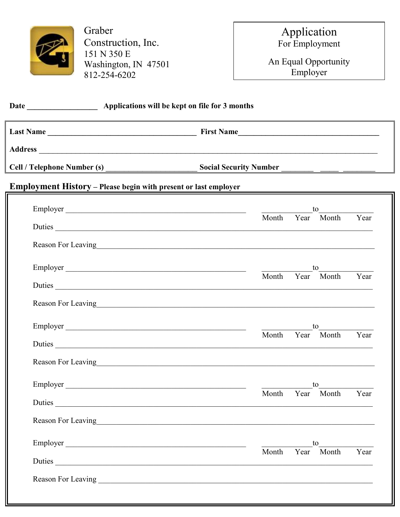

Graber Construction, Inc.<br>151 N 350 E Washington, IN 47501<br>812-254-6202 Application<br>For Employment

An Equal Opportunity Employer

|          | Employment History - Please begin with present or last employer                                                                                                                                                                |  |
|----------|--------------------------------------------------------------------------------------------------------------------------------------------------------------------------------------------------------------------------------|--|
|          | to<br>Month Yea<br>Year Month<br>Year                                                                                                                                                                                          |  |
|          | Reason For Leaving example and the contract of the contract of the contract of the contract of the contract of the contract of the contract of the contract of the contract of the contract of the contract of the contract of |  |
| Employer | to<br>$\frac{1}{\text{Month}}$ Ye<br>Year Month<br>Year                                                                                                                                                                        |  |
|          |                                                                                                                                                                                                                                |  |
|          | to<br>Month<br>Year<br>Year Month                                                                                                                                                                                              |  |
|          | Reason For Leaving https://www.archive.com/www.archive.com/www.archive.com/www.archive.com/www.archive.com/www.archive.com/www.archive.com/www.archive.com/www.archive.com/www.archive.com/www.archive.com/www.archive.com/www |  |
| Duties   | Month Year Month Year                                                                                                                                                                                                          |  |
|          | Reason For Leaving example and the contract of the contract of the contract of the contract of the contract of the contract of the contract of the contract of the contract of the contract of the contract of the contract of |  |
| Employer | to<br>Year<br>Year Month<br>Month<br>Duties                                                                                                                                                                                    |  |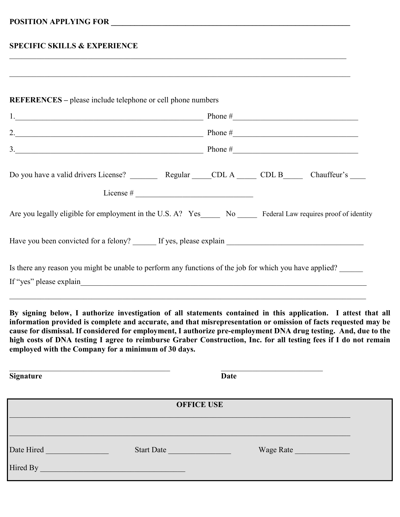## **POSITION APPLYING FOR \_\_\_\_\_\_\_\_\_\_\_\_\_\_\_\_\_\_\_\_\_\_\_\_\_\_\_\_\_\_\_\_\_\_\_\_\_\_\_\_\_\_\_\_\_\_\_\_\_\_\_\_\_\_\_\_\_\_\_\_\_**

## **SPECIFIC SKILLS & EXPERIENCE**

| 1. Phone $\#$ Phone $\#$                                                                                         |
|------------------------------------------------------------------------------------------------------------------|
| 2. Phone $\#$ Phone $\#$                                                                                         |
| 3. Phone $\#$ Phone $\#$                                                                                         |
|                                                                                                                  |
|                                                                                                                  |
| Are you legally eligible for employment in the U.S. A? Yes______ No _____ Federal Law requires proof of identity |
|                                                                                                                  |
| Is there any reason you might be unable to perform any functions of the job for which you have applied?          |
|                                                                                                                  |

 $\mathcal{L}_\mathcal{L} = \{ \mathcal{L}_\mathcal{L} = \{ \mathcal{L}_\mathcal{L} = \{ \mathcal{L}_\mathcal{L} = \{ \mathcal{L}_\mathcal{L} = \{ \mathcal{L}_\mathcal{L} = \{ \mathcal{L}_\mathcal{L} = \{ \mathcal{L}_\mathcal{L} = \{ \mathcal{L}_\mathcal{L} = \{ \mathcal{L}_\mathcal{L} = \{ \mathcal{L}_\mathcal{L} = \{ \mathcal{L}_\mathcal{L} = \{ \mathcal{L}_\mathcal{L} = \{ \mathcal{L}_\mathcal{L} = \{ \mathcal{L}_\mathcal{$ 

**Signature** Date **OFFICE USE** Date Hired \_\_\_\_\_\_\_\_\_\_\_\_\_\_\_\_ Start Date \_\_\_\_\_\_\_\_\_\_\_\_\_\_\_\_ Wage Rate \_\_\_\_\_\_\_\_\_\_\_\_\_\_ Hired By